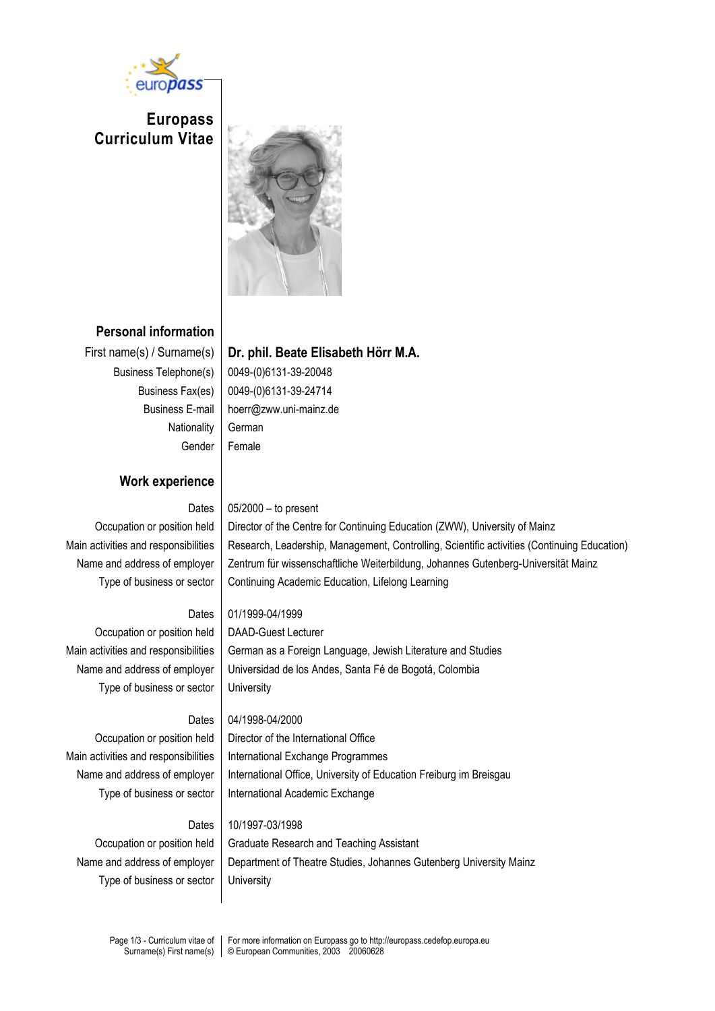

**Europass Curriculum Vitae**



# **Personal information**

Nationality | German

# First name(s) / Surname(s) **Dr. phil. Beate Elisabeth Hörr M.A.**

Business Telephone(s) | 0049-(0)6131-39-20048 Business Fax(es) 0049-(0)6131-39-24714 Business E-mail hoerr@zww.uni-mainz.de Gender Female

## **Work experience**

## Dates  $\vert 05/2000 -$  to present

Occupation or position held | Director of the Centre for Continuing Education (ZWW), University of Mainz Main activities and responsibilities | Research, Leadership, Management, Controlling, Scientific activities (Continuing Education) Name and address of employer | Zentrum für wissenschaftliche Weiterbildung, Johannes Gutenberg-Universität Mainz Type of business or sector | Continuing Academic Education, Lifelong Learning

## Dates 01/1999-04/1999

Occupation or position held | DAAD-Guest Lecturer Main activities and responsibilities | German as a Foreign Language, Jewish Literature and Studies Name and address of employer | Universidad de los Andes, Santa Fé de Bogotá, Colombia Type of business or sector | University

## Dates 04/1998-04/2000

Occupation or position held Director of the International Office Main activities and responsibilities | International Exchange Programmes Name and address of employer | International Office, University of Education Freiburg im Breisgau Type of business or sector | International Academic Exchange

#### Dates 10/1997-03/1998

Type of business or sector | University

Occupation or position held | Graduate Research and Teaching Assistant Name and address of employer | Department of Theatre Studies, Johannes Gutenberg University Mainz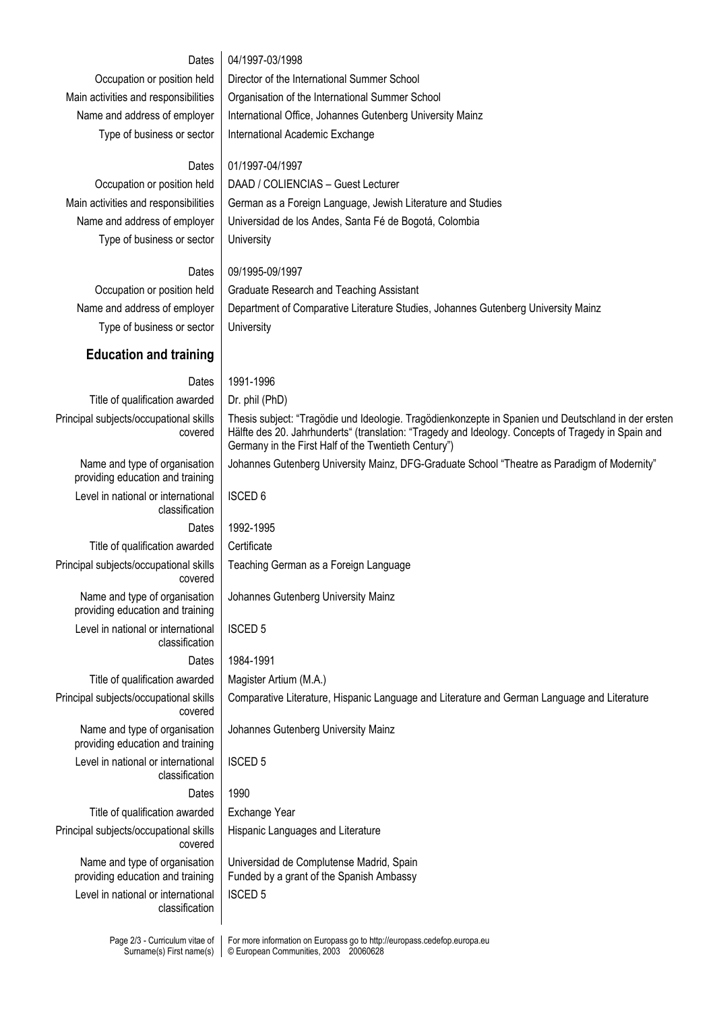#### Dates 04/1997-03/1998

Occupation or position held | Director of the International Summer School Main activities and responsibilities | Organisation of the International Summer School Name and address of employer | International Office, Johannes Gutenberg University Mainz Type of business or sector | International Academic Exchange

#### Dates 01/1997-04/1997

Type of business or sector | University

Occupation or position held | DAAD / COLIENCIAS – Guest Lecturer Main activities and responsibilities | German as a Foreign Language, Jewish Literature and Studies Name and address of employer | Universidad de los Andes, Santa Fé de Bogotá, Colombia

#### Dates 09/1995-09/1997

Occupation or position held | Graduate Research and Teaching Assistant Name and address of employer | Department of Comparative Literature Studies, Johannes Gutenberg University Mainz Type of business or sector | University

#### **Education and training**

Dates 1991-1996 Title of qualification awarded  $\vert$  Dr. phil (PhD) Principal subjects/occupational skills covered Thesis subject: "Tragödie und Ideologie. Tragödienkonzepte in Spanien und Deutschland in der ersten Hälfte des 20. Jahrhunderts" (translation: "Tragedy and Ideology. Concepts of Tragedy in Spain and Germany in the First Half of the Twentieth Century") Name and type of organisation providing education and training Johannes Gutenberg University Mainz, DFG-Graduate School "Theatre as Paradigm of Modernity" Level in national or international classification ISCED 6 Dates 1992-1995 Title of qualification awarded  $\vert$  Certificate Principal subjects/occupational skills covered Teaching German as a Foreign Language Name and type of organisation providing education and training Johannes Gutenberg University Mainz Level in national or international classification ISCED 5 Dates 1984-1991 Title of qualification awarded  $\parallel$  Magister Artium (M.A.) Principal subjects/occupational skills covered Comparative Literature, Hispanic Language and Literature and German Language and Literature Name and type of organisation providing education and training Johannes Gutenberg University Mainz Level in national or international classification ISCED 5 Dates 1990 Title of qualification awarded | Exchange Year Principal subjects/occupational skills covered Hispanic Languages and Literature Name and type of organisation providing education and training Universidad de Complutense Madrid, Spain Funded by a grant of the Spanish Ambassy Level in national or international classification ISCED 5